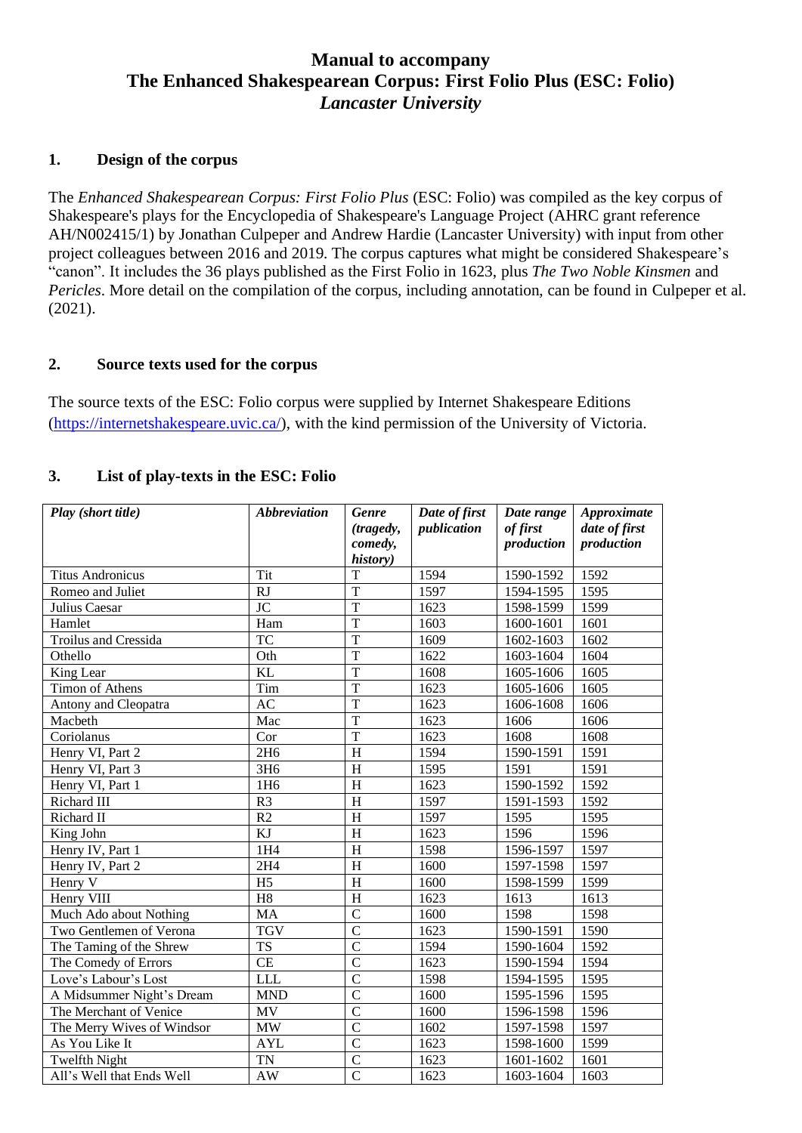# **Manual to accompany The Enhanced Shakespearean Corpus: First Folio Plus (ESC: Folio)** *Lancaster University*

#### **1. Design of the corpus**

The *Enhanced Shakespearean Corpus: First Folio Plus* (ESC: Folio) was compiled as the key corpus of Shakespeare's plays for the Encyclopedia of Shakespeare's Language Project (AHRC grant reference AH/N002415/1) by Jonathan Culpeper and Andrew Hardie (Lancaster University) with input from other project colleagues between 2016 and 2019. The corpus captures what might be considered Shakespeare's "canon". It includes the 36 plays published as the First Folio in 1623, plus *The Two Noble Kinsmen* and *Pericles*. More detail on the compilation of the corpus, including annotation, can be found in Culpeper et al. (2021).

### **2. Source texts used for the corpus**

The source texts of the ESC: Folio corpus were supplied by Internet Shakespeare Editions [\(https://internetshakespeare.uvic.ca/\)](https://internetshakespeare.uvic.ca/), with the kind permission of the University of Victoria.

### **3. List of play-texts in the ESC: Folio**

| Play (short title)         | <b>Abbreviation</b> | <b>Genre</b><br>(tragedy,<br>comedy,<br>history) | Date of first<br>publication | Date range<br>of first<br>production | Approximate<br>date of first<br>production |
|----------------------------|---------------------|--------------------------------------------------|------------------------------|--------------------------------------|--------------------------------------------|
| <b>Titus Andronicus</b>    | Tit                 | $\mathbf T$                                      | 1594                         | 1590-1592                            | 1592                                       |
| Romeo and Juliet           | RJ                  | $\overline{T}$                                   | 1597                         | 1594-1595                            | 1595                                       |
| Julius Caesar              | $\overline{JC}$     | $\overline{T}$                                   | 1623                         | 1598-1599                            | 1599                                       |
| Hamlet                     | Ham                 | $\overline{T}$                                   | 1603                         | 1600-1601                            | 1601                                       |
| Troilus and Cressida       | <b>TC</b>           | $\overline{T}$                                   | 1609                         | 1602-1603                            | 1602                                       |
| Othello                    | Oth                 | $\overline{T}$                                   | 1622                         | 1603-1604                            | 1604                                       |
| King Lear                  | <b>KL</b>           | $\overline{T}$                                   | 1608                         | 1605-1606                            | 1605                                       |
| <b>Timon of Athens</b>     | Tim                 | $\overline{T}$                                   | 1623                         | 1605-1606                            | 1605                                       |
| Antony and Cleopatra       | AC                  | $\overline{T}$                                   | 1623                         | 1606-1608                            | 1606                                       |
| Macbeth                    | Mac                 | $\overline{T}$                                   | 1623                         | 1606                                 | 1606                                       |
| Coriolanus                 | Cor                 | $\overline{T}$                                   | 1623                         | 1608                                 | 1608                                       |
| Henry VI, Part 2           | 2H <sub>6</sub>     | H                                                | 1594                         | 1590-1591                            | 1591                                       |
| Henry VI, Part 3           | 3H <sub>6</sub>     | H                                                | 1595                         | 1591                                 | 1591                                       |
| Henry VI, Part 1           | 1H <sub>6</sub>     | H                                                | 1623                         | 1590-1592                            | 1592                                       |
| Richard III                | R <sub>3</sub>      | H                                                | 1597                         | 1591-1593                            | 1592                                       |
| Richard II                 | R2                  | $\mathbf H$                                      | 1597                         | 1595                                 | 1595                                       |
| King John                  | KJ                  | H                                                | 1623                         | 1596                                 | 1596                                       |
| Henry IV, Part 1           | 1H4                 | H                                                | 1598                         | 1596-1597                            | 1597                                       |
| Henry IV, Part 2           | 2H4                 | H                                                | 1600                         | 1597-1598                            | 1597                                       |
| Henry V                    | H <sub>5</sub>      | $\overline{H}$                                   | 1600                         | 1598-1599                            | 1599                                       |
| Henry VIII                 | H <sub>8</sub>      | H                                                | 1623                         | 1613                                 | 1613                                       |
| Much Ado about Nothing     | MA                  | $\mathbf C$                                      | 1600                         | 1598                                 | 1598                                       |
| Two Gentlemen of Verona    | <b>TGV</b>          | $\overline{C}$                                   | 1623                         | 1590-1591                            | 1590                                       |
| The Taming of the Shrew    | <b>TS</b>           | $\overline{C}$                                   | 1594                         | 1590-1604                            | 1592                                       |
| The Comedy of Errors       | <b>CE</b>           | $\overline{C}$                                   | 1623                         | 1590-1594                            | 1594                                       |
| Love's Labour's Lost       | <b>LLL</b>          | $\overline{C}$                                   | 1598                         | 1594-1595                            | 1595                                       |
| A Midsummer Night's Dream  | <b>MND</b>          | $\overline{C}$                                   | 1600                         | 1595-1596                            | 1595                                       |
| The Merchant of Venice     | <b>MV</b>           | $\overline{C}$                                   | 1600                         | 1596-1598                            | 1596                                       |
| The Merry Wives of Windsor | MW                  | $\overline{C}$                                   | 1602                         | 1597-1598                            | 1597                                       |
| As You Like It             | <b>AYL</b>          | $\overline{C}$                                   | 1623                         | 1598-1600                            | 1599                                       |
| <b>Twelfth Night</b>       | <b>TN</b>           | $\overline{C}$                                   | 1623                         | 1601-1602                            | 1601                                       |
| All's Well that Ends Well  | <b>AW</b>           | $\overline{C}$                                   | 1623                         | 1603-1604                            | 1603                                       |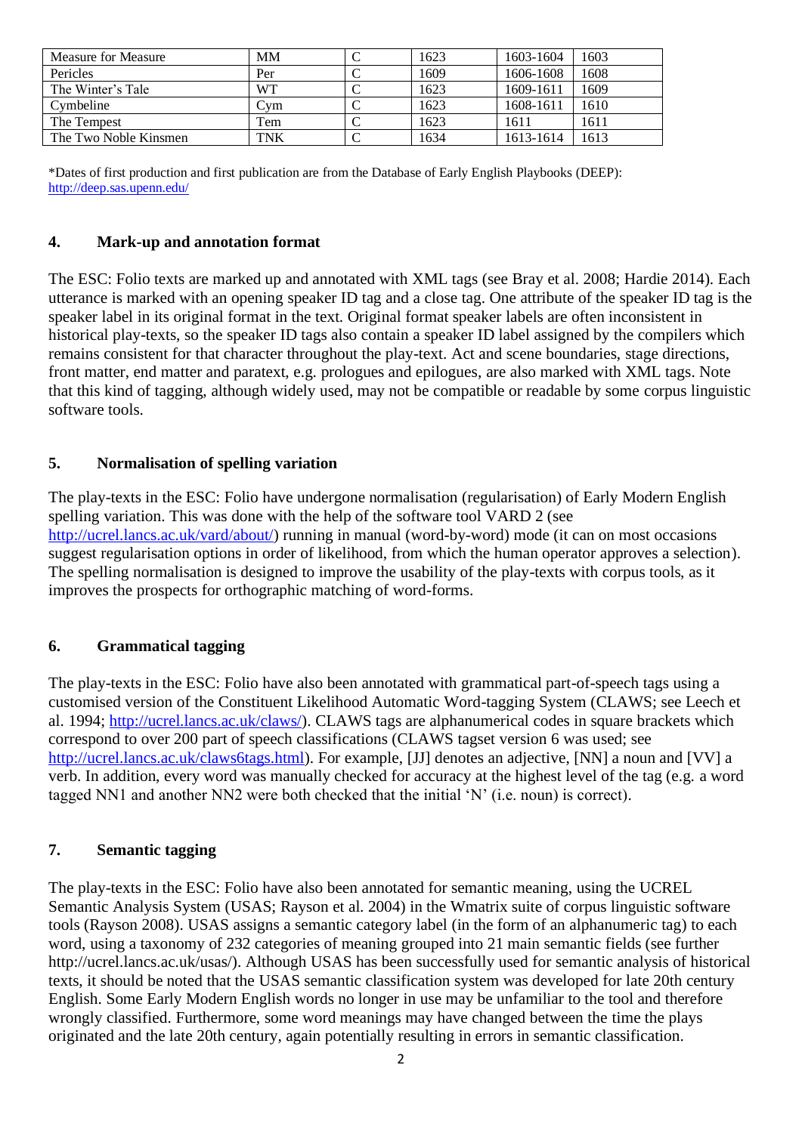| Measure for Measure   | <b>MM</b>  | 1623 | 1603-1604 | 1603 |
|-----------------------|------------|------|-----------|------|
| Pericles              | Per        | 1609 | 1606-1608 | 1608 |
| The Winter's Tale     | WT         | 1623 | 1609-1611 | 1609 |
| Cymbeline             | Cvm        | 1623 | 1608-1611 | 1610 |
| The Tempest           | Tem        | 1623 | 1611      | 1611 |
| The Two Noble Kinsmen | <b>TNK</b> | 1634 | 1613-1614 | 1613 |

\*Dates of first production and first publication are from the Database of Early English Playbooks (DEEP): <http://deep.sas.upenn.edu/>

## **4. Mark-up and annotation format**

The ESC: Folio texts are marked up and annotated with XML tags (see Bray et al. 2008; Hardie 2014). Each utterance is marked with an opening speaker ID tag and a close tag. One attribute of the speaker ID tag is the speaker label in its original format in the text. Original format speaker labels are often inconsistent in historical play-texts, so the speaker ID tags also contain a speaker ID label assigned by the compilers which remains consistent for that character throughout the play-text. Act and scene boundaries, stage directions, front matter, end matter and paratext, e.g. prologues and epilogues, are also marked with XML tags. Note that this kind of tagging, although widely used, may not be compatible or readable by some corpus linguistic software tools.

## **5. Normalisation of spelling variation**

The play-texts in the ESC: Folio have undergone normalisation (regularisation) of Early Modern English spelling variation. This was done with the help of the software tool VARD 2 (see [http://ucrel.lancs.ac.uk/vard/about/\)](http://ucrel.lancs.ac.uk/vard/about/) running in manual (word-by-word) mode (it can on most occasions suggest regularisation options in order of likelihood, from which the human operator approves a selection). The spelling normalisation is designed to improve the usability of the play-texts with corpus tools, as it improves the prospects for orthographic matching of word-forms.

## **6. Grammatical tagging**

The play-texts in the ESC: Folio have also been annotated with grammatical part-of-speech tags using a customised version of the Constituent Likelihood Automatic Word-tagging System (CLAWS; see Leech et al. 1994; [http://ucrel.lancs.ac.uk/claws/\)](http://ucrel.lancs.ac.uk/claws/). CLAWS tags are alphanumerical codes in square brackets which correspond to over 200 part of speech classifications (CLAWS tagset version 6 was used; see [http://ucrel.lancs.ac.uk/claws6tags.html\)](http://ucrel.lancs.ac.uk/claws6tags.html). For example, [JJ] denotes an adjective, [NN] a noun and [VV] a verb. In addition, every word was manually checked for accuracy at the highest level of the tag (e.g. a word tagged NN1 and another NN2 were both checked that the initial 'N' (i.e. noun) is correct).

### **7. Semantic tagging**

The play-texts in the ESC: Folio have also been annotated for semantic meaning, using the UCREL Semantic Analysis System (USAS; Rayson et al. 2004) in the Wmatrix suite of corpus linguistic software tools (Rayson 2008). USAS assigns a semantic category label (in the form of an alphanumeric tag) to each word, using a taxonomy of 232 categories of meaning grouped into 21 main semantic fields (see further http://ucrel.lancs.ac.uk/usas/). Although USAS has been successfully used for semantic analysis of historical texts, it should be noted that the USAS semantic classification system was developed for late 20th century English. Some Early Modern English words no longer in use may be unfamiliar to the tool and therefore wrongly classified. Furthermore, some word meanings may have changed between the time the plays originated and the late 20th century, again potentially resulting in errors in semantic classification.